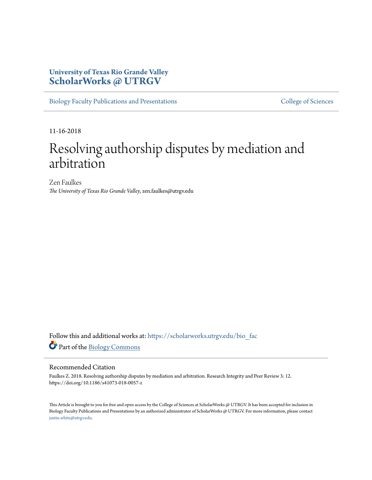# **University of Texas Rio Grande Valley [ScholarWorks @ UTRGV](https://scholarworks.utrgv.edu/?utm_source=scholarworks.utrgv.edu%2Fbio_fac%2F1&utm_medium=PDF&utm_campaign=PDFCoverPages)**

[Biology Faculty Publications and Presentations](https://scholarworks.utrgv.edu/bio_fac?utm_source=scholarworks.utrgv.edu%2Fbio_fac%2F1&utm_medium=PDF&utm_campaign=PDFCoverPages) [College of Sciences](https://scholarworks.utrgv.edu/cos?utm_source=scholarworks.utrgv.edu%2Fbio_fac%2F1&utm_medium=PDF&utm_campaign=PDFCoverPages)

11-16-2018

# Resolving authorship disputes by mediation and arbitration

Zen Faulkes *The University of Texas Rio Grande Valley*, zen.faulkes@utrgv.edu

Follow this and additional works at: [https://scholarworks.utrgv.edu/bio\\_fac](https://scholarworks.utrgv.edu/bio_fac?utm_source=scholarworks.utrgv.edu%2Fbio_fac%2F1&utm_medium=PDF&utm_campaign=PDFCoverPages) Part of the [Biology Commons](http://network.bepress.com/hgg/discipline/41?utm_source=scholarworks.utrgv.edu%2Fbio_fac%2F1&utm_medium=PDF&utm_campaign=PDFCoverPages)

## Recommended Citation

Faulkes Z. 2018. Resolving authorship disputes by mediation and arbitration. Research Integrity and Peer Review 3: 12. https://doi.org/10.1186/s41073-018-0057-z

This Article is brought to you for free and open access by the College of Sciences at ScholarWorks @ UTRGV. It has been accepted for inclusion in Biology Faculty Publications and Presentations by an authorized administrator of ScholarWorks @ UTRGV. For more information, please contact [justin.white@utrgv.edu.](mailto:justin.white@utrgv.edu)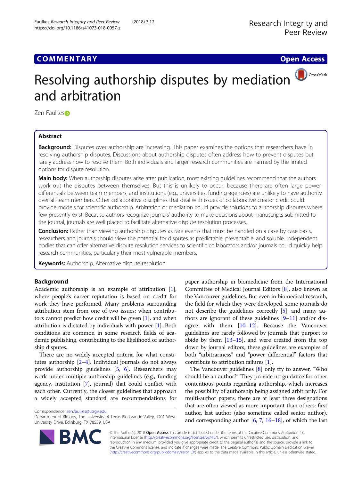# **COMMENTARY COMMENTARY Open Access**



# Resolving authorship disputes by mediation and arbitration

Zen Faulke[s](http://orcid.org/0000-0003-4049-7034)®

## Abstract

Background: Disputes over authorship are increasing. This paper examines the options that researchers have in resolving authorship disputes. Discussions about authorship disputes often address how to prevent disputes but rarely address how to resolve them. Both individuals and larger research communities are harmed by the limited options for dispute resolution.

Main body: When authorship disputes arise after publication, most existing quidelines recommend that the authors work out the disputes between themselves. But this is unlikely to occur, because there are often large power differentials between team members, and institutions (e.g., universities, funding agencies) are unlikely to have authority over all team members. Other collaborative disciplines that deal with issues of collaborative creator credit could provide models for scientific authorship. Arbitration or mediation could provide solutions to authorship disputes where few presently exist. Because authors recognize journals' authority to make decisions about manuscripts submitted to the journal, journals are well placed to facilitate alternative dispute resolution processes.

**Conclusion:** Rather than viewing authorship disputes as rare events that must be handled on a case by case basis, researchers and journals should view the potential for disputes as predictable, preventable, and soluble. Independent bodies that can offer alternative dispute resolution services to scientific collaborators and/or journals could quickly help research communities, particularly their most vulnerable members.

**Keywords:** Authorship, Alternative dispute resolution

## Background

Academic authorship is an example of attribution [[1](#page-6-0)], where people's career reputation is based on credit for work they have performed. Many problems surrounding attribution stem from one of two issues: when contributors cannot predict how credit will be given [\[1](#page-6-0)], and when attribution is dictated by individuals with power [\[1\]](#page-6-0). Both conditions are common in some research fields of academic publishing, contributing to the likelihood of authorship disputes.

There are no widely accepted criteria for what constitutes authorship [[2](#page-6-0)–[4](#page-6-0)]. Individual journals do not always provide authorship guidelines [\[5](#page-6-0), [6](#page-6-0)]. Researchers may work under multiple authorship guidelines (e.g., funding agency, institution [[7\]](#page-6-0), journal) that could conflict with each other. Currently, the closest guidelines that approach a widely accepted standard are recommendations for

Correspondence: [zen.faulkes@utrgv.edu](mailto:zen.faulkes@utrgv.edu)

paper authorship in biomedicine from the International Committee of Medical Journal Editors [\[8](#page-6-0)], also known as the Vancouver guidelines. But even in biomedical research, the field for which they were developed, some journals do not describe the guidelines correctly [[5\]](#page-6-0), and many authors are ignorant of these guidelines  $[9-11]$  $[9-11]$  $[9-11]$  $[9-11]$  $[9-11]$  and/or disagree with them [\[10](#page-6-0)–[12](#page-6-0)]. Because the Vancouver guidelines are rarely followed by journals that purport to abide by them [[13](#page-6-0)–[15\]](#page-6-0), and were created from the top down by journal editors, these guidelines are examples of both "arbitrariness" and "power differential" factors that contribute to attribution failures [\[1](#page-6-0)].

The Vancouver guidelines [\[8\]](#page-6-0) only try to answer, "Who should be an author?" They provide no guidance for other contentious points regarding authorship, which increases the possibility of authorship being assigned arbitrarily. For multi-author papers, there are at least three designations that are often viewed as more important than others: first author, last author (also sometime called senior author), and corresponding author  $[6, 7, 16–18]$  $[6, 7, 16–18]$  $[6, 7, 16–18]$  $[6, 7, 16–18]$  $[6, 7, 16–18]$  $[6, 7, 16–18]$  $[6, 7, 16–18]$  $[6, 7, 16–18]$  $[6, 7, 16–18]$ , of which the last



© The Author(s). 2018 Open Access This article is distributed under the terms of the Creative Commons Attribution 4.0 International License [\(http://creativecommons.org/licenses/by/4.0/](http://creativecommons.org/licenses/by/4.0/)), which permits unrestricted use, distribution, and reproduction in any medium, provided you give appropriate credit to the original author(s) and the source, provide a link to the Creative Commons license, and indicate if changes were made. The Creative Commons Public Domain Dedication waiver [\(http://creativecommons.org/publicdomain/zero/1.0/](http://creativecommons.org/publicdomain/zero/1.0/)) applies to the data made available in this article, unless otherwise stated.

Department of Biology, The University of Texas Rio Grande Valley, 1201 West University Drive, Edinburg, TX 78539, USA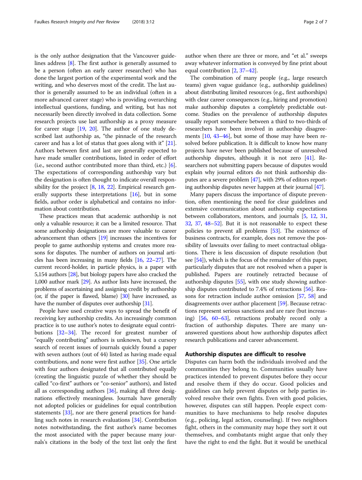is the only author designation that the Vancouver guidelines address [[8](#page-6-0)]. The first author is generally assumed to be a person (often an early career researcher) who has done the largest portion of the experimental work and the writing, and who deserves most of the credit. The last author is generally assumed to be an individual (often in a more advanced career stage) who is providing overarching intellectual questions, funding, and writing, but has not necessarily been directly involved in data collection. Some research projects use last authorship as a proxy measure for career stage [\[19,](#page-6-0) [20\]](#page-6-0). The author of one study described last authorship as, "the pinnacle of the research career and has a lot of status that goes along with it" [[21](#page-6-0)]. Authors between first and last are generally expected to have made smaller contributions, listed in order of effort (i.e., second author contributed more than third, etc.) [[6](#page-6-0)]. The expectations of corresponding authorship vary but the designation is often thought to indicate overall respon-sibility for the project [\[8,](#page-6-0) [18,](#page-6-0) [22\]](#page-6-0). Empirical research generally supports these interpretations [\[16\]](#page-6-0), but in some fields, author order is alphabetical and contains no information about contribution.

These practices mean that academic authorship is not only a valuable resource; it can be a limited resource. That some authorship designations are more valuable to career advancement than others [\[19\]](#page-6-0) increases the incentives for people to game authorship systems and creates more reasons for disputes. The number of authors on journal articles has been increasing in many fields [\[16,](#page-6-0) [22](#page-6-0)–[27](#page-6-0)]. The current record-holder, in particle physics, is a paper with 5,154 authors [\[28\]](#page-6-0), but biology papers have also cracked the 1,000 author mark [[29\]](#page-6-0). As author lists have increased, the problems of ascertaining and assigning credit by authorship (or, if the paper is flawed, blame)  $[30]$  $[30]$  have increased, as have the number of disputes over authorship [[31](#page-6-0)].

People have used creative ways to spread the benefit of receiving key authorship credits. An increasingly common practice is to use author's notes to designate equal contributions [\[32](#page-6-0)–[34](#page-6-0)]. The record for greatest number of "equally contributing" authors is unknown, but a cursory search of recent issues of journals quickly found a paper with seven authors (out of 44) listed as having made equal contributions, and none were first author [\[35\]](#page-6-0). One article with four authors designated that all contributed equally (creating the linguistic puzzle of whether they should be called "co-first" authors or "co-senior" authors), and listed all as corresponding authors [[36](#page-6-0)], making all three designations effectively meaningless. Journals have generally not adopted policies or guidelines for equal contribution statements [\[33\]](#page-6-0), nor are there general practices for handling such notes in research evaluations [\[34\]](#page-6-0). Contribution notes notwithstanding, the first author's name becomes the most associated with the paper because many journals's citations in the body of the text list only the first author when there are three or more, and "et al." sweeps away whatever information is conveyed by fine print about equal contribution [\[2](#page-6-0), [37](#page-6-0)–[42](#page-6-0)].

The combination of many people (e.g., large research teams) given vague guidance (e.g., authorship guidelines) about distributing limited resources (e.g., first authorships) with clear career consequences (e.g., hiring and promotion) make authorship disputes a completely predictable outcome. Studies on the prevalence of authorship disputes usually report somewhere between a third to two-thirds of researchers have been involved in authorship disagreements [[10](#page-6-0), [43](#page-6-0)–[46\]](#page-6-0), but some of those may have been resolved before publication. It is difficult to know how many projects have never been published because of unresolved authorship disputes, although it is not zero [\[41\]](#page-6-0). Researchers not submitting papers because of disputes would explain why journal editors do not think authorship disputes are a severe problem [[47](#page-6-0)], with 29% of editors reporting authorship disputes never happen at their journal [\[47\]](#page-6-0).

Many papers discuss the importance of dispute prevention, often mentioning the need for clear guidelines and extensive communication about authorship expectations between collaborators, mentors, and journals [\[5](#page-6-0), [12](#page-6-0), [31](#page-6-0), [32](#page-6-0), [37](#page-6-0), [48](#page-6-0)–[52\]](#page-7-0). But it is not reasonable to expect these policies to prevent all problems [\[53\]](#page-7-0). The existence of business contracts, for example, does not remove the possibility of lawsuits over failing to meet contractual obligations. There is less discussion of dispute resolution (but see [[54](#page-7-0)]), which is the focus of the remainder of this paper, particularly disputes that are not resolved when a paper is published. Papers are routinely retracted because of authorship disputes [\[55\]](#page-7-0), with one study showing authorship disputes contributed to 7.4% of retractions [[56](#page-7-0)]. Reasons for retraction include author omission [\[57](#page-7-0), [58\]](#page-7-0) and disagreements over author placement [\[59\]](#page-7-0). Because retractions represent serious sanctions and are rare (but increasing) [\[56,](#page-7-0) [60](#page-7-0)–[63\]](#page-7-0), retractions probably record only a fraction of authorship disputes. There are many unanswered questions about how authorship disputes affect research publications and career advancement.

#### Authorship disputes are difficult to resolve

Disputes can harm both the individuals involved and the communities they belong to. Communities usually have practices intended to prevent disputes before they occur and resolve them if they do occur. Good policies and guidelines can help prevent disputes or help parties involved resolve their own fights. Even with good policies, however, disputes can still happen. People expect communities to have mechanisms to help resolve disputes (e.g., policing, legal action, counseling). If two neighbors fight, others in the community may hope they sort it out themselves, and combatants might argue that only they have the right to end the fight. But it would be unethical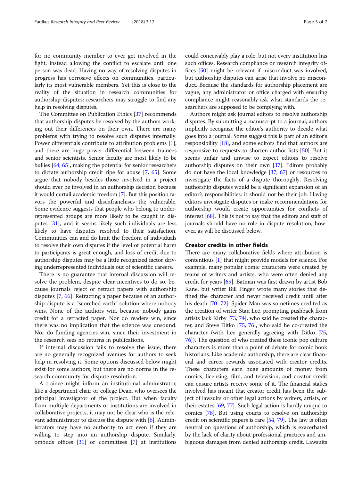for no community member to ever get involved in the fight, instead allowing the conflict to escalate until one person was dead. Having no way of resolving disputes in progress has corrosive effects on communities, particularly its most vulnerable members. Yet this is close to the reality of the situation in research communities for authorship disputes: researchers may struggle to find any help in resolving disputes.

The Committee on Publication Ethics [[37](#page-6-0)] recommends that authorship disputes be resolved by the authors working out their differences on their own. There are many problems with trying to resolve such disputes internally. Power differentials contribute to attribution problems [[1](#page-6-0)], and there are huge power differential between trainees and senior scientists. Senior faculty are most likely to be bullies [\[64,](#page-7-0) [65\]](#page-7-0), making the potential for senior researchers to dictate authorship credit ripe for abuse [\[7](#page-6-0), [65\]](#page-7-0). Some argue that nobody besides those involved in a project should ever be involved in an authorship decision because it would curtail academic freedom [[7\]](#page-6-0). But this position favors the powerful and disenfranchises the vulnerable. Some evidence suggests that people who belong to underrepresented groups are more likely to be caught in disputes [[31](#page-6-0)], and it seems likely such individuals are less likely to have disputes resolved to their satisfaction. Communities can and do limit the freedom of individuals to resolve their own disputes if the level of potential harm to participants is great enough, and loss of credit due to authorship disputes may be a little recognized factor driving underrepresented individuals out of scientific careers.

There is no guarantee that internal discussion will resolve the problem, despite clear incentives to do so, because journals reject or retract papers with authorship disputes [\[7](#page-6-0), [66\]](#page-7-0). Retracting a paper because of an authorship dispute is a "scorched earth" solution where nobody wins. None of the authors win, because nobody gains credit for a retracted paper. Nor do readers win, since there was no implication that the science was unsound. Nor do funding agencies win, since their investment in the research sees no returns in publications.

If internal discussion fails to resolve the issue, there are no generally recognized avenues for authors to seek help in resolving it. Some options discussed below might exist for some authors, but there are no norms in the research community for dispute resolution.

A trainee might inform an institutional administrator, like a department chair or college Dean, who oversees the principal investigator of the project. But when faculty from multiple departments or institutions are involved in collaborative projects, it may not be clear who is the relevant administrator to discuss the dispute with [\[6](#page-6-0)]. Administrators may have no authority to act even if they are willing to step into an authorship dispute. Similarly, ombuds offices [\[31\]](#page-6-0) or committees [\[7](#page-6-0)] at institutions could conceivably play a role, but not every institution has such offices. Research compliance or research integrity offices [[50](#page-6-0)] might be relevant if misconduct was involved, but authorship disputes can arise that involve no misconduct. Because the standards for authorship placement are vague, any administrator or office charged with ensuring compliance might reasonably ask what standards the researchers are supposed to be complying with.

Authors might ask journal editors to resolve authorship disputes. By submitting a manuscript to a journal, authors implicitly recognize the editor's authority to decide what goes into a journal. Some suggest this is part of an editor's responsibility [\[18\]](#page-6-0), and some editors find that authors are responsive to requests to shorten author lists [[50](#page-6-0)]. But it seems unfair and unwise to expect editors to resolve authorship disputes on their own [[37](#page-6-0)]. Editors probably do not have the local knowledge [\[37,](#page-6-0) [67](#page-7-0)] or resources to investigate the facts of a dispute thoroughly. Resolving authorship disputes would be a significant expansion of an editor's responsibilities: it should not be their job. Having editors investigate disputes or make recommendations for authorship would create opportunities for conflicts of interest [\[68](#page-7-0)]. This is not to say that the editors and staff of journals should have no role in dispute resolution, however, as will be discussed below.

### Creator credits in other fields

There are many collaborative fields where attribution is contentious [\[1](#page-6-0)] that might provide models for science. For example, many popular comic characters were created by teams of writers and artists, who were often denied any credit for years [\[69\]](#page-7-0). Batman was first drawn by artist Bob Kane, but writer Bill Finger wrote many stories that defined the character and never received credit until after his death [\[70](#page-7-0)–[72](#page-7-0)]. Spider-Man was sometimes credited as the creation of writer Stan Lee, prompting pushback from artists Jack Kirby [[73](#page-7-0), [74\]](#page-7-0), who said he created the character, and Steve Ditko [\[75,](#page-7-0) [76](#page-7-0)], who said he co-created the character (with Lee generally agreeing with Ditko [[75](#page-7-0), [76](#page-7-0)]). The question of who created these iconic pop culture characters is more than a point of debate for comic book historians. Like academic authorship, there are clear financial and career rewards associated with creator credits. These characters earn huge amounts of money from comics, licensing, film, and television, and creator credit can ensure artists receive some of it. The financial stakes involved has meant that creator credit has been the subject of lawsuits or other legal actions by writers, artists, or their estates [[69,](#page-7-0) [77](#page-7-0)]. Such legal action is hardly unique to comics [\[78](#page-7-0)]. But using courts to resolve on authorship credit on scientific papers is rare [[54](#page-7-0), [79\]](#page-7-0). The law is often neutral on questions of authorship, which is exacerbated by the lack of clarity about professional practices and ambiguous damages from denied authorship credit. Lawsuits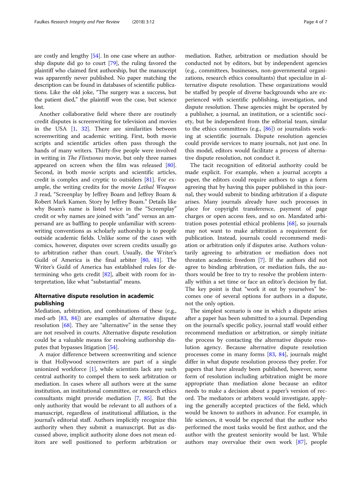are costly and lengthy [\[54\]](#page-7-0). In one case where an authorship dispute did go to court [\[79\]](#page-7-0), the ruling favored the plaintiff who claimed first authorship, but the manuscript was apparently never published. No paper matching the description can be found in databases of scientific publications. Like the old joke, "The surgery was a success, but the patient died," the plaintiff won the case, but science lost.

Another collaborative field where there are routinely credit disputes is screenwriting for television and movies in the USA [\[1,](#page-6-0) [32\]](#page-6-0). There are similarities between screenwriting and academic writing. First, both movie scripts and scientific articles often pass through the hands of many writers. Thirty-five people were involved in writing in *The Flintsones* movie, but only three names appeared on screen when the film was released [\[80](#page-7-0)]. Second, in both movie scripts and scientific articles, credit is complex and cryptic to outsiders [[81\]](#page-7-0). For example, the writing credits for the movie Lethal Weapon 3 read, "Screenplay by Jeffrey Boam and Jeffrey Boam & Robert Mark Kamen. Story by Jeffrey Boam." Details like why Boam's name is listed twice in the "Screenplay" credit or why names are joined with "and" versus an ampersand are as baffling to people unfamiliar with screenwriting conventions as scholarly authorship is to people outside academic fields. Unlike some of the cases with comics, however, disputes over screen credits usually go to arbitration rather than court. Usually, the Writer's Guild of America is the final arbiter [\[80](#page-7-0), [81\]](#page-7-0). The Writer's Guild of America has established rules for determining who gets credit [[82](#page-7-0)], albeit with room for interpretation, like what "substantial" means.

### Alternative dispute resolution in academic publishing

Mediation, arbitration, and combinations of these (e.g., med-arb [[83,](#page-7-0) [84\]](#page-7-0)) are examples of alternative dispute resolution [[68\]](#page-7-0). They are "alternative" in the sense they are not resolved in courts. Alternative dispute resolution could be a valuable means for resolving authorship disputes that bypasses litigation [[54](#page-7-0)].

A major difference between screenwriting and science is that Hollywood screenwriters are part of a single unionized workforce  $[1]$ , while scientists lack any such central authority to compel them to seek arbitration or mediation. In cases where all authors were at the same institution, an institutional committee, or research ethics consultants might provide mediation [\[7](#page-6-0), [85\]](#page-7-0). But the only authority that would be relevant to all authors of a manuscript, regardless of institutional affiliation, is the journal's editorial staff. Authors implicitly recognize this authority when they submit a manuscript. But as discussed above, implicit authority alone does not mean editors are well positioned to perform arbitration or

mediation. Rather, arbitration or mediation should be conducted not by editors, but by independent agencies (e.g., committees, businesses, non-governmental organizations, research ethics consultants) that specialize in alternative dispute resolution. These organizations would be staffed by people of diverse backgrounds who are experienced with scientific publishing, investigation, and dispute resolution. These agencies might be operated by a publisher, a journal, an institution, or a scientific society, but be independent from the editorial team, similar to the ethics committees (e.g., [[86](#page-7-0)]) or journalists working at scientific journals. Dispute resolution agencies could provide services to many journals, not just one. In this model, editors would facilitate a process of alternative dispute resolution, not conduct it.

The tacit recognition of editorial authority could be made explicit. For example, when a journal accepts a paper, the editors could require authors to sign a form agreeing that by having this paper published in this journal, they would submit to binding arbitration if a dispute arises. Many journals already have such processes in place for copyright transference, payment of page charges or open access fees, and so on. Mandated arbitration poses potential ethical problems [\[68\]](#page-7-0), so journals may not want to make arbitration a requirement for publication. Instead, journals could recommend mediation or arbitration only if disputes arise. Authors voluntarily agreeing to arbitration or mediation does not threaten academic freedom [[7\]](#page-6-0). If the authors did not agree to binding arbitration, or mediation fails, the authors would be free to try to resolve the problem internally within a set time or face an editor's decision by fiat. The key point is that "work it out by yourselves" becomes one of several options for authors in a dispute, not the only option.

The simplest scenario is one in which a dispute arises after a paper has been submitted to a journal. Depending on the journal's specific policy, journal staff would either recommend mediation or arbitration, or simply initiate the process by contacting the alternative dispute resolution agency. Because alternative dispute resolution processes come in many forms [[83,](#page-7-0) [84\]](#page-7-0), journals might differ in what dispute resolution process they prefer. For papers that have already been published, however, some form of resolution including arbitration might be more appropriate than mediation alone because an editor needs to make a decision about a paper's version of record. The mediators or arbiters would investigate, applying the generally accepted practices of the field, which would be known to authors in advance. For example, in life sciences, it would be expected that the author who performed the most tasks would be first author, and the author with the greatest seniority would be last. While authors may overvalue their own work [\[87\]](#page-7-0), people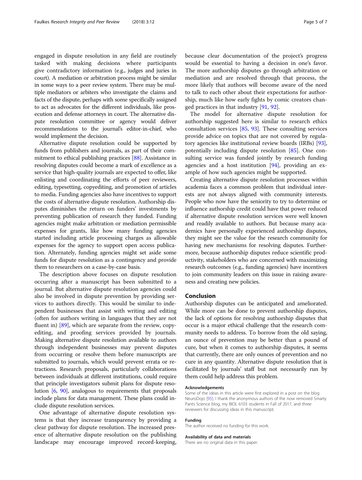engaged in dispute resolution in any field are routinely tasked with making decisions where participants give contradictory information (e.g., judges and juries in court). A mediation or arbitration process might be similar in some ways to a peer review system. There may be multiple mediators or arbiters who investigate the claims and facts of the dispute, perhaps with some specifically assigned to act as advocates for the different individuals, like prosecution and defense attorneys in court. The alternative dispute resolution committee or agency would deliver recommendations to the journal's editor-in-chief, who would implement the decision.

Alternative dispute resolution could be supported by funds from publishers and journals, as part of their commitment to ethical publishing practices [\[88\]](#page-7-0). Assistance in resolving disputes could become a mark of excellence as a service that high-quality journals are expected to offer, like enlisting and coordinating the efforts of peer reviewers, editing, typesetting, copyediting, and promotion of articles to media. Funding agencies also have incentives to support the costs of alternative dispute resolution. Authorship disputes diminishes the return on funders' investments by preventing publication of research they funded. Funding agencies might make arbitration or mediation permissible expenses for grants, like how many funding agencies started including article processing charges as allowable expenses for the agency to support open access publication. Alternately, funding agencies might set aside some funds for dispute resolution as a contingency and provide them to researchers on a case-by-case basis.

The description above focuses on dispute resolution occurring after a manuscript has been submitted to a journal. But alternative dispute resolution agencies could also be involved in dispute prevention by providing services to authors directly. This would be similar to independent businesses that assist with writing and editing (often for authors writing in languages that they are not fluent in) [[89](#page-7-0)], which are separate from the review, copyediting, and proofing services provided by journals. Making alternative dispute resolution available to authors through independent businesses may prevent disputes from occurring or resolve them before manuscripts are submitted to journals, which would prevent errata or retractions. Research proposals, particularly collaborations between individuals at different institutions, could require that principle investigators submit plans for dispute resolution [[6,](#page-6-0) [90\]](#page-7-0), analogous to requirements that proposals include plans for data management. These plans could include dispute resolution services.

One advantage of alternative dispute resolution systems is that they increase transparency by providing a clear pathway for dispute resolution. The increased presence of alternative dispute resolution on the publishing landscape may encourage improved record-keeping, because clear documentation of the project's progress would be essential to having a decision in one's favor. The more authorship disputes go through arbitration or mediation and are resolved through that process, the more likely that authors will become aware of the need to talk to each other about their expectations for authorship, much like how early fights by comic creators changed practices in that industry [\[91](#page-7-0), [92](#page-7-0)].

The model for alternative dispute resolution for authorship suggested here is similar to research ethics consultation services [[85,](#page-7-0) [93](#page-7-0)]. These consulting services provide advice on topics that are not covered by regulatory agencies like institutional review boards (IRBs) [\[93](#page-7-0)], potentially including dispute resolution [\[85\]](#page-7-0). One consulting service was funded jointly by research funding agencies and a host institution [[94](#page-7-0)], providing an example of how such agencies might be supported.

Creating alternative dispute resolution processes within academia faces a common problem that individual interests are not always aligned with community interests. People who now have the seniority to try to determine or influence authorship credit could have that power reduced if alternative dispute resolution services were well known and readily available to authors. But because many academics have personally experienced authorship disputes, they might see the value for the research community for having new mechanisms for resolving disputes. Furthermore, because authorship disputes reduce scientific productivity, stakeholders who are concerned with maximizing research outcomes (e.g., funding agencies) have incentives to join community leaders on this issue in raising awareness and creating new policies.

#### Conclusion

Authorship disputes can be anticipated and ameliorated. While more can be done to prevent authorship disputes, the lack of options for resolving authorship disputes that occur is a major ethical challenge that the research community needs to address. To borrow from the old saying, an ounce of prevention may be better than a pound of cure, but when it comes to authorship disputes, it seems that currently, there are only ounces of prevention and no cure in any quantity. Alternative dispute resolution that is facilitated by journals' staff but not necessarily run by them could help address this problem.

#### Acknowledgements

Some of the ideas in this article were first explored in a post on the blog NeuroDojo [[95\]](#page-7-0). I thank the anonymous authors of the now removed Smarty Pants Science blog, my BIOL 6103 students in Fall of 2017, and three reviewers for discussing ideas in this manuscript.

#### Funding

The author received no funding for this work.

#### Availability of data and materials

There are no original data in this paper.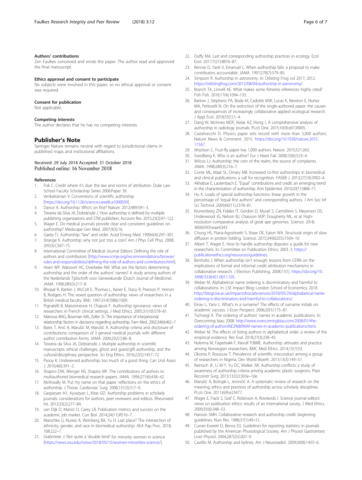#### <span id="page-6-0"></span>Authors' contributions

Zen Faulkes conceived and wrote the paper. The author read and approved the final manuscript.

#### Ethics approval and consent to participate

No subjects were involved in this paper, so no ethical approval or consent was required.

#### Consent for publication

Not applicable.

#### Competing interests

The author declares that he has no competing interests.

#### Publisher's Note

Springer Nature remains neutral with regard to jurisdictional claims in published maps and institutional affiliations.

# Received: 29 July 2018 Accepted: 31 October 2018

#### References

- 1. Fisk C: Credit where it's due: the law and norms of attribution. Duke Law School Faculty Scholarship Series 2006:Paper 39.
- 2. Venkatraman V: Conventions of scientific authorship [<https://doi.org/10.1126/science.caredit.a1000039>].
- 3. Dance A. Authorship: Who's on first? Nature. 2012;489:591–3.
- 4. Teixeira da Silva JA, Dobránszki J. How authorship is defined by multiple publishing organizations and STM publishers. Account Res. 2015;23(2):97–122.
- 5. Wager E. Do medical journals provide clear and consistent guidelines on authorship? Medscape Gen Med. 2007;9(3):16.
- 6. Gaeta TJ. Authorship: "law" and order. Acad Emerg Med. 1999;6(4):297–301.
- 7. Strange K. Authorship: why not just toss a coin? Am J Phys Cell Phys. 2008; 295(3):C567–75.
- 8. International Committee of Medical Journal Editors: Defining the role of authors and contributors [[http://www.icmje.org/recommendations/browse/](http://www.icmje.org/recommendations/browse/roles-and-responsibilities/defining-the-role-of-authors-and-contributors.html) [roles-and-responsibilities/defining-the-role-of-authors-and-contributors.html\]](http://www.icmje.org/recommendations/browse/roles-and-responsibilities/defining-the-role-of-authors-and-contributors.html).
- Hoen WP, Walvoort HC, Overbeke AM. What are the factors determining authorship and the order of the authors' names? A study among authors of the Nederlands Tijdschrift voor Geneeskunde (Dutch Journal of Medicine). JAMA. 1998;280(3):217–8.
- 10. Bhopal R, Rankin J, McColl E, Thomas L, Kaner E, Stacy R, Pearson P, Vernon B, Rodgers H. The vexed question of authorship: views of researchers in a British medical faculty. BMJ. 1997;314(7086):1009.
- 11. Pignatelli B, Maisonneuve H, Chapuis F. Authorship ignorance: views of researchers in French clinical settings. J Med Ethics. 2005;31(10):578–81.
- 12. Mainous IIIAG, Bowman MA, Zoller JS. The importance of interpersonal relationship factors in decisions regarding authorship. Fam Med. 2002;34(6):462–7.
- 13. Bates T, Anić A, Marušić M, Marušić A. Authorship criteria and disclosure of contributions: comparison of 3 general medical journals with different author contribution forms. JAMA. 2004;292(1):86–8.
- 14. Teixeira da Silva JA, Dobránszki J. Multiple authorship in scientific manuscripts: ethical challenges, ghost and guest/gift authorship, and the cultural/disciplinary perspective. Sci Eng Ethics. 2016;22(5):1457–72.
- 15. Psooy K. Undeserved authorship: too much of a good thing. Can Urol Assoc J. 2010;4(6):391–2.
- 16. Shapiro DW, Wenger NS, Shapiro MF. The contributions of authors to multiauthored biomedical research papers. JAMA. 1994;271(6):438–42.
- 17. McKneally M. Put my name on that paper: reflections on the ethics of authorship. J Thorac Cardiovasc Surg. 2006;131(3):517–9.
- 18. Gasparyan AY, Ayvazyan L, Kitas GD. Authorship problems in scholarly journals: considerations for authors, peer reviewers and editors. Rheumatol Int. 2013;33(2):277–84.
- 19. van Dijk D, Manor O, Carey LB. Publication metrics and success on the academic job market. Curr Biol. 2014;24(11):R516–7.
- 20. Marschke G, Nunez A, Weinberg BA, Yu H. Last place? The intersection of ethnicity, gender, and race in biomedical authorship. AEA Pap Proc. 2018; 108:222–7.
- 21. Grabmeier J: Not quite a 'double bind' for minority women in science [<https://news.osu.edu/news/2018/05/15/women-minorities-science/>].
- 22. Duffy MA. Last and corresponding authorship practices in ecology. Ecol Evol. 2017;7(21):8876–87.
- 23. Rennie D, Yank V, Emanuel L. When authorship fails: a proposal to make contributors accountable. JAMA. 1997;278(7):579–85.
- 24. Simpson R. Authorship in astronomy. In: Orbiting Frog vol 2017; 2012. [https://orbitingfrog.com/2012/08/04/authorship-in-astronomy/.](https://orbitingfrog.com/2012/08/04/authorship-in-astronomy/)
- 25. Branch TA, Linnell AE. What makes some fisheries references highly cited? Fish Fish. 2016;17(4):1094–133.
- 26. Barlow J, Stephens PA, Bode M, Cadotte MW, Lucas K, Newton E, Nuñez MA, Pettorelli N. On the extinction of the single-authored paper: the causes and consequences of increasingly collaborative applied ecological research. J Appl Ecol. 2018;55(1):1–4.
- 27. Dang W, McInnes MDF, Kielar AZ, Hong J. A comprehensive analysis of authorship in radiology journals. PLoS One. 2015;10(9):e0139005.
- 28. Castelvecchi D. Physics paper sets record with more than 5,000 authors. Nature News & Comment. 2015. [https://doi.org/10.1038/nature.2015.](https://doi.org/10.1038/nature.2015.17567) [17567](https://doi.org/10.1038/nature.2015.17567).
- 29. Woolson C. Fruit-fly paper has 1,000 authors. Nature. 2015;521:263.
- 30. Swedberg K. Who is an author? Eur J Heart Fail. 2008;10(6):523–4.
- 31. Wilcox LJ. Authorship: the coin of the realm, the source of complaints. JAMA. 1998;280(3):216–7.
- 32. Conte ML, Maat SL, Omary MB. Increased co-first authorships in biomedical and clinical publications: a call for recognition. FASEB J. 2013;27(10):3902–4.
- 33. Akhabue E, Lautenbach E. "Equal" contributions and credit: an emerging trend in the characterization of authorship. Ann Epidemiol. 2010;20(11):868–71.
- 34. Hu X. Loads of special authorship functions: linear growth in the percentage of "equal first authors" and corresponding authors. J Am Soc Inf Sci Technol. 2009;60(11):2378–81.
- 35. Kronenberg ZN, Fiddes IT, Gordon D, Murali S, Cantsilieris S, Meyerson OS, Underwood JG, Nelson BJ, Chaisson MJP, Dougherty ML, et al. Highresolution comparative analysis of great ape genomes. Science. 2018; 360(6393):eaar6343.
- 36. Chung HS, Piana-Agostinetti S, Shaw DE, Eaton WA. Structural origin of slow diffusion in protein folding. Science. 2015;349(6255):1504–10.
- 37. Albert T, Wager E. How to handle authorship disputes: a guide for new researchers. In: Committee on Publication Ethics; 2003. 3. [https://](https://publicationethics.org/resources/guidelines) [publicationethics.org/resources/guidelines.](https://publicationethics.org/resources/guidelines)
- 38. Birnholtz J. When authorship isn't enough: lessons from CERN on the implications of formal and informal credit attribution mechanisms in collaborative research. J Electron Publishing. 2008;11(1). [https://doi.org/10.](https://doi.org/10.3998/3336451.0011.105) [3998/3336451.0011.105.](https://doi.org/10.3998/3336451.0011.105)
- 39. Weber M. Alphabetical name ordering is discriminatory and harmful to collaborations. In: LSE Impact Blog: London School of Economics; 2018. [http://blogs.lse.ac.uk/impactofsocialsciences/2018/05/29/alphabetical-name](http://blogs.lse.ac.uk/impactofsocialsciences/2018/05/29/alphabetical-name-ordering-is-discriminatory-and-harmful-to-collaborations/)[ordering-is-discriminatory-and-harmful-to-collaborations/](http://blogs.lse.ac.uk/impactofsocialsciences/2018/05/29/alphabetical-name-ordering-is-discriminatory-and-harmful-to-collaborations/).
- 40. Einav L, Yariv L. What's in a surname? The effects of surname initials on academic success. J Econ Perspect. 2006;20(1):175–87.
- 41. Tschoegl A. The ordering of authors' names in academic publications. In: Overcoming bias; 2008. [http://www.overcomingbias.com/2008/01/the](http://www.overcomingbias.com/2008/01/the-ordering-of-authors%E2%80%99-names-in-academic-publications.html)[ordering-of-authors%E2%80%99-names-in-academic-publications.html](http://www.overcomingbias.com/2008/01/the-ordering-of-authors%E2%80%99-names-in-academic-publications.html).
- 42. Weber M. The effects of listing authors in alphabetical order: a review of the empirical evidence. Res Eval. 2018;27(3):238–45.
- 43. Nylenna M, Fagerbakk F, Kierulf PJBME. Authorship: attitudes and practice among Norwegian researchers. BMC Med Ethics. 2014;15(1):53.
- 44. Okonta P, Rossouw T. Prevalence of scientific misconduct among a group of researchers in Nigeria. Dev World Bioeth. 2013;13(3):149–57.
- 45. Reinisch JF, Li W-Y, Yu DC, Walker JW. Authorship conflicts: a study of awareness of authorship criteria among academic plastic surgeons. Plast Reconstr Surg. 2013;132(2):303e–10e.
- 46. Marušić A, Bošnjak L, Jerončić A. A systematic review of research on the meaning, ethics and practices of authorship across scholarly disciplines. PLoS One. 2011;6(9):e23477.
- 47. Wager E, Fiack S, Graf C, Robinson A, Rowlands I. Science journal editors' views on publication ethics: results of an international survey. J Med Ethics. 2009;35(6):348–53.
- 48. Hanson SMH. Collaborative research and authorship credit: beginning guidelines. Nurs Res. 1988;37(1):49–51.
- 49. Curran-Everett D, Benos DJ. Guidelines for reporting statistics in journals published by the American Physiological Society. Am J Physiol Gastrointest Liver Physiol. 2004;287(2):G307–9.
- 50. Castillo M. Authorship and bylines. Am J Neuroradiol. 2009;30(8):1455–6.